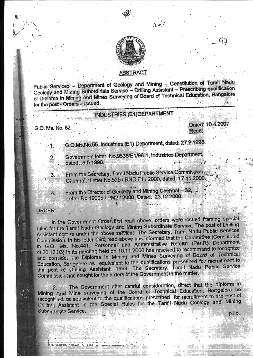

rx



## **ABSTRACT**

Public Services - Department of Geology and Mining - Constitution of Tamil Nadu Geology and Mining Subordinate Service - Drilling Assistant - Prescribing qualification of Diploma in Mining and Mines Surveying of Board of Technical Education, Bangalore for the post - Orders - Issued.

## **INDUSTRIES (E1) DEPARTMENT**

G.O. Ms. No. 82

2.

4.

TANKING MEDIA

Dated: 10.4.200 Read:

G.O.Ms.No.55, Industries (E1) Department, dated: 27.2.1998.

Government letter. No.9536/E1/98-1, Industries Department, dated: .9.5.1998.

From the Secretary, Tamil Nadu Public Service Commission, 3. Chennal, 'Letter No.525 / RND F1 / 2000, dated: 17.11.2000.

From the Director of Geology and Mining Chennal - 32, . Letter F.c.19095 / PM2 / 2000, Dated: 23.12.2000.

## ORDER:

In the Covernment Order first read above, orders were issued framing special rules for the Tamil Nadu Geology and Mining Subordinate Service. The post of Drilling Assistant comes under the above service: The Secretary, Tamil Nadu Public Services Commission, in his letter third read above has informed that the Committee (Constituted in G.O. Ms. No.441, Personnel and Administrative Reform (Per.R) Department dt.20.12.93) in its meeting held on 10.11.2000 has resolved to recommend to recognize and consider the Diploma in Mining and Mines Surveying of Board of Technical Education, Bangalore as equivalent to the qualifications prescribed for recruitment to the post of Drilling Assistant, 1998. The Secretary, Tamil Nadu Public Service Commission has sought for the orders of the Government in the matter.

The Government after careful consideration, direct that the diploma in  $2.$ Mining rind Mine surveying of the Board of Technical Education, Barrgalore be recognized as equivalent to the qualifications prescribed for recruitment to tile post of Drilling Assistant in the Special Rules for the Tamil Nadu Geology and Mining Subrardinate Service.  $0.10.$